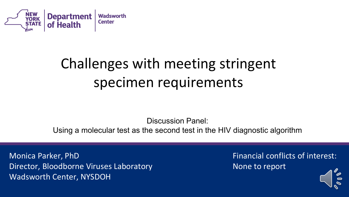

# Challenges with meeting stringent specimen requirements

Discussion Panel:

Using a molecular test as the second test in the HIV diagnostic algorithm

Monica Parker, PhD Director, Bloodborne Viruses Laboratory Wadsworth Center, NYSDOH

Financial conflicts of interest: None to report

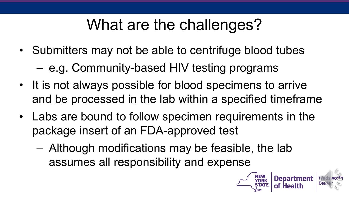# What are the challenges?

- Submitters may not be able to centrifuge blood tubes
	- e.g. Community-based HIV testing programs
- It is not always possible for blood specimens to arrive and be processed in the lab within a specified timeframe
- Labs are bound to follow specimen requirements in the package insert of an FDA-approved test
	- Although modifications may be feasible, the lab assumes all responsibility and expense

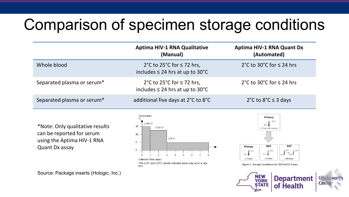# Comparison of specimen storage conditions

|                            | <b>Aptima HIV-1 RNA Qualitative</b><br>(Manual)                        | <b>Aptima HIV-1 RNA Quant Dx</b><br>(Automated) |
|----------------------------|------------------------------------------------------------------------|-------------------------------------------------|
| Whole blood                | 2°C to 25°C for ≤ 72 hrs,<br>includes $\leq$ 24 hrs at up to 30°C      | 2°C to 30°C for $\leq$ 24 hrs                   |
| Separated plasma or serum* | 2°C to 25°C for $\leq$ 72 hrs,<br>includes $\leq$ 24 hrs at up to 30°C | 2°C to 30°C for $\leq$ 24 hrs                   |
| Separated plasma or serum* | additional five days at 2°C to 8°C                                     | 2°C to $8$ °C $\leq$ 3 days                     |

\*Note: Only qualitative results can be reported for serum using the Aptima HIV-1 RNA Quant Dx assay

Source: Package inserts (Hologic, Inc.)





Figure 1. Storage Conditions for EDTA/ACD Tubes



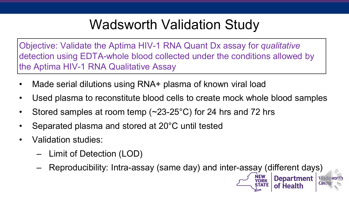## Wadsworth Validation Study

Objective: Validate the Aptima HIV-1 RNA Quant Dx assay for *qualitative* detection using EDTA-whole blood collected under the conditions allowed by the Aptima HIV-1 RNA Qualitative Assay

- Made serial dilutions using RNA+ plasma of known viral load
- Used plasma to reconstitute blood cells to create mock whole blood samples
- Stored samples at room temp  $(\sim 23{\text -}25^{\circ}\text{C})$  for 24 hrs and 72 hrs
- Separated plasma and stored at 20°C until tested
- Validation studies:
	- Limit of Detection (LOD)
	- Reproducibility: Intra-assay (same day) and inter-assay (different days)

**Department**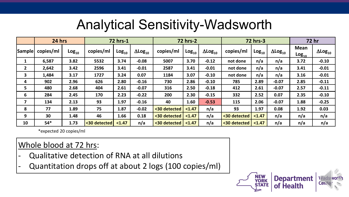### Analytical Sensitivity-Wadsworth

|              | 24 hrs    |                   |              | 72 hrs-1          |                            |              | <b>72 hrs-2</b>   |                            | <b>72 hrs-3</b> |                   | <b>72 hr</b>               |                           |                      |
|--------------|-----------|-------------------|--------------|-------------------|----------------------------|--------------|-------------------|----------------------------|-----------------|-------------------|----------------------------|---------------------------|----------------------|
| Sample       | copies/ml | Log <sub>10</sub> | copies/ml    | Log <sub>10</sub> | $\Delta$ Log <sub>10</sub> | copies/ml    | Log <sub>10</sub> | $\Delta$ Log <sub>10</sub> | copies/ml       | Log <sub>10</sub> | $\Delta$ Log <sub>10</sub> | <b>Mean</b><br>$Log_{10}$ | $\Delta$ Log $_{10}$ |
| 1            | 6,587     | 3.82              | 5532         | 3.74              | $-0.08$                    | 5007         | 3.70              | $-0.12$                    | not done        | n/a               | n/a                        | 3.72                      | $-0.10$              |
| $\mathbf{2}$ | 2,642     | 3.42              | 2596         | 3.41              | $-0.01$                    | 2587         | 3.41              | $-0.01$                    | not done        | n/a               | n/a                        | 3.41                      | $-0.01$              |
| 3            | 1,484     | 3.17              | 1727         | 3.24              | 0.07                       | 1184         | 3.07              | $-0.10$                    | not done        | n/a               | n/a                        | 3.16                      | $-0.01$              |
| 4            | 902       | 2.96              | 626          | 2.80              | $-0.16$                    | 730          | 2.86              | $-0.10$                    | 785             | 2.89              | $-0.07$                    | 2.85                      | $-0.11$              |
| 5            | 480       | 2.68              | 404          | 2.61              | $-0.07$                    | 316          | 2.50              | $-0.18$                    | 412             | 2.61              | $-0.07$                    | 2.57                      | $-0.11$              |
| 6            | 284       | 2.45              | 170          | 2.23              | $-0.22$                    | 200          | 2.30              | $-0.15$                    | 332             | 2.52              | 0.07                       | 2.35                      | $-0.10$              |
| 7            | 134       | 2.13              | 93           | 1.97              | $-0.16$                    | 40           | 1.60              | $-0.53$                    | 115             | 2.06              | $-0.07$                    | 1.88                      | $-0.25$              |
| 8            | 77        | 1.89              | 75           | 1.87              | $-0.02$                    | <30 detected | < 1.47            | n/a                        | 93              | 1.97              | 0.08                       | 1.92                      | 0.03                 |
| 9            | 30        | 1.48              | 46           | 1.66              | 0.18                       | <30 detected | < 1.47            | n/a                        | <30 detected    | < 1.47            | n/a                        | n/a                       | n/a                  |
| 10           | $54*$     | 1.73              | <30 detected | < 1.47            | n/a                        | <30 detected | < 1.47            | n/a                        | <30 detected    | < 1.47            | n/a                        | n/a                       | n/a                  |

\*expected 20 copies/ml

### Whole blood at 72 hrs:

- Qualitative detection of RNA at all dilutions
- Quantitation drops off at about 2 logs (100 copies/ml)

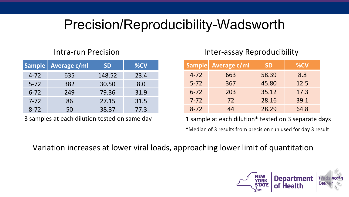## Precision/Reproducibility-Wadsworth

|          | Sample   Average c/ml | <b>SD</b> | %CV  |
|----------|-----------------------|-----------|------|
| $4 - 72$ | 635                   | 148.52    | 23.4 |
| $5 - 72$ | 382                   | 30.50     | 8.0  |
| $6 - 72$ | 249                   | 79.36     | 31.9 |
| $7 - 72$ | 86                    | 27.15     | 31.5 |
| $8 - 72$ | 50                    | 38.37     | 77.3 |

#### Intra-run Precision **Inter-assay Reproducibility**

| <b>Sample</b> | <b>Average c/ml</b> | <b>SD</b> | %CV  |
|---------------|---------------------|-----------|------|
| $4 - 72$      | 663                 | 58.39     | 8.8  |
| $5 - 72$      | 367                 | 45.80     | 12.5 |
| $6 - 72$      | 203                 | 35.12     | 17.3 |
| $7 - 72$      | 72                  | 28.16     | 39.1 |
| $8 - 72$      | 44                  | 28.29     | 64.8 |

3 samples at each dilution tested on same day 1 sample at each dilution\* tested on 3 separate days

\*Median of 3 results from precision run used for day 3 result

Variation increases at lower viral loads, approaching lower limit of quantitation